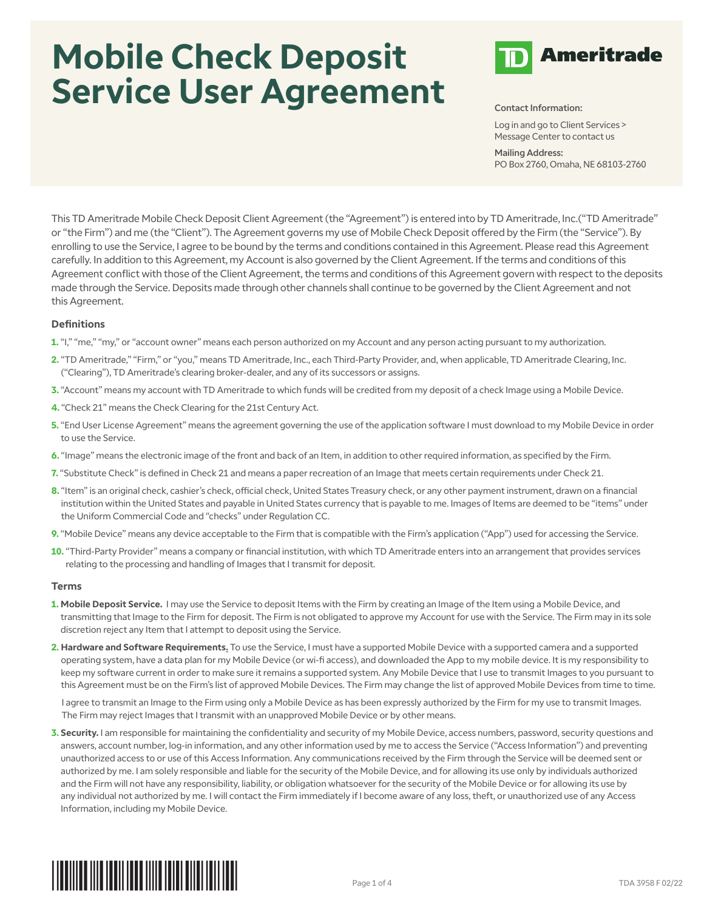# **Mobile Check Deposit Service User Agreement**



Log in and go to Client Services > Message Center to contact us

Mailing Address: PO Box 2760, Omaha, NE 68103-2760

This TD Ameritrade Mobile Check Deposit Client Agreement (the "Agreement") is entered into by TD Ameritrade, Inc.("TD Ameritrade" or "the Firm") and me (the "Client"). The Agreement governs my use of Mobile Check Deposit offered by the Firm (the "Service"). By enrolling to use the Service, I agree to be bound by the terms and conditions contained in this Agreement. Please read this Agreement carefully. In addition to this Agreement, my Account is also governed by the Client Agreement. If the terms and conditions of this Agreement conflict with those of the Client Agreement, the terms and conditions of this Agreement govern with respect to the deposits made through the Service. Deposits made through other channels shall continue to be governed by the Client Agreement and not this Agreement.

## **Definitions**

- 1. "I," "me," "my," or "account owner" means each person authorized on my Account and any person acting pursuant to my authorization.
- **2.** "TD Ameritrade," "Firm," or "you," means TD Ameritrade, Inc., each Third-Party Provider, and, when applicable, TD Ameritrade Clearing, Inc. ("Clearing"), TD Ameritrade's clearing broker-dealer, and any of its successors or assigns.
- **3.** "Account" means my account with TD Ameritrade to which funds will be credited from my deposit of a check Image using a Mobile Device.
- **4.** "Check 21" means the Check Clearing for the 21st Century Act.
- **5.** "End User License Agreement" means the agreement governing the use of the application software I must download to my Mobile Device in order to use the Service.
- **6.** "Image" means the electronic image of the front and back of an Item, in addition to other required information, as specified by the Firm.
- **7.** "Substitute Check" is defined in Check 21 and means a paper recreation of an Image that meets certain requirements under Check 21.
- **8.** "Item" is an original check, cashier's check, official check, United States Treasury check, or any other payment instrument, drawn on a financial institution within the United States and payable in United States currency that is payable to me. Images of Items are deemed to be "items" under the Uniform Commercial Code and "checks" under Regulation CC.
- **9.** "Mobile Device" means any device acceptable to the Firm that is compatible with the Firm's application ("App") used for accessing the Service.
- **10.** "Third-Party Provider" means a company or financial institution, with which TD Ameritrade enters into an arrangement that provides services relating to the processing and handling of Images that I transmit for deposit.

### **Terms**

- **1. Mobile Deposit Service.** I may use the Service to deposit Items with the Firm by creating an Image of the Item using a Mobile Device, and transmitting that Image to the Firm for deposit. The Firm is not obligated to approve my Account for use with the Service. The Firm may in its sole discretion reject any Item that I attempt to deposit using the Service.
- **2. Hardware and Software Requirements.** To use the Service, I must have a supported Mobile Device with a supported camera and a supported operating system, have a data plan for my Mobile Device (or wi-fi access), and downloaded the App to my mobile device. It is my responsibility to keep my software current in order to make sure it remains a supported system. Any Mobile Device that I use to transmit Images to you pursuant to this Agreement must be on the Firm's list of approved Mobile Devices. The Firm may change the list of approved Mobile Devices from time to time.

I agree to transmit an Image to the Firm using only a Mobile Device as has been expressly authorized by the Firm for my use to transmit Images. The Firm may reject Images that I transmit with an unapproved Mobile Device or by other means.

**3. Security.** I am responsible for maintaining the confidentiality and security of my Mobile Device, access numbers, password, security questions and answers, account number, log-in information, and any other information used by me to access the Service ("Access Information") and preventing unauthorized access to or use of this Access Information. Any communications received by the Firm through the Service will be deemed sent or authorized by me. I am solely responsible and liable for the security of the Mobile Device, and for allowing its use only by individuals authorized and the Firm will not have any responsibility, liability, or obligation whatsoever for the security of the Mobile Device or for allowing its use by any individual not authorized by me. I will contact the Firm immediately if I become aware of any loss, theft, or unauthorized use of any Access Information, including my Mobile Device.

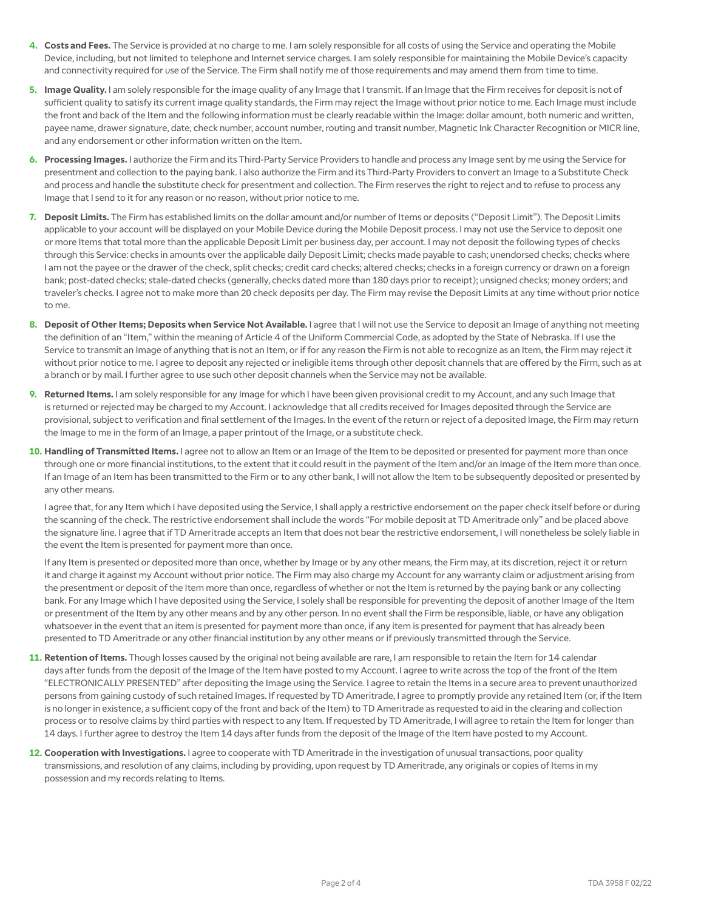- **4. Costs and Fees.** The Service is provided at no charge to me. I am solely responsible for all costs of using the Service and operating the Mobile Device, including, but not limited to telephone and Internet service charges. I am solely responsible for maintaining the Mobile Device's capacity and connectivity required for use of the Service. The Firm shall notify me of those requirements and may amend them from time to time.
- **5. Image Quality.** I am solely responsible for the image quality of any Image that I transmit. If an Image that the Firm receives for deposit is not of sufficient quality to satisfy its current image quality standards, the Firm may reject the Image without prior notice to me. Each Image must include the front and back of the Item and the following information must be clearly readable within the Image: dollar amount, both numeric and written, payee name, drawer signature, date, check number, account number, routing and transit number, Magnetic Ink Character Recognition or MICR line, and any endorsement or other information written on the Item.
- **6. Processing Images.** I authorize the Firm and its Third-Party Service Providers to handle and process any Image sent by me using the Service for presentment and collection to the paying bank. I also authorize the Firm and its Third-Party Providers to convert an Image to a Substitute Check and process and handle the substitute check for presentment and collection. The Firm reserves the right to reject and to refuse to process any Image that I send to it for any reason or no reason, without prior notice to me.
- **7. Deposit Limits.** The Firm has established limits on the dollar amount and/or number of Items or deposits ("Deposit Limit"). The Deposit Limits applicable to your account will be displayed on your Mobile Device during the Mobile Deposit process. I may not use the Service to deposit one or more Items that total more than the applicable Deposit Limit per business day, per account. I may not deposit the following types of checks through this Service: checks in amounts over the applicable daily Deposit Limit; checks made payable to cash; unendorsed checks; checks where I am not the payee or the drawer of the check, split checks; credit card checks; altered checks; checks in a foreign currency or drawn on a foreign bank; post-dated checks; stale-dated checks (generally, checks dated more than 180 days prior to receipt); unsigned checks; money orders; and traveler's checks. I agree not to make more than 20 check deposits per day. The Firm may revise the Deposit Limits at any time without prior notice to me.
- **8. Deposit of Other Items; Deposits when Service Not Available.** I agree that I will not use the Service to deposit an Image of anything not meeting the definition of an "Item," within the meaning of Article 4 of the Uniform Commercial Code, as adopted by the State of Nebraska. If I use the Service to transmit an Image of anything that is not an Item, or if for any reason the Firm is not able to recognize as an Item, the Firm may reject it without prior notice to me. I agree to deposit any rejected or ineligible items through other deposit channels that are offered by the Firm, such as at a branch or by mail. I further agree to use such other deposit channels when the Service may not be available.
- **9. Returned Items.** I am solely responsible for any Image for which I have been given provisional credit to my Account, and any such Image that is returned or rejected may be charged to my Account. I acknowledge that all credits received for Images deposited through the Service are provisional, subject to verification and final settlement of the Images. In the event of the return or reject of a deposited Image, the Firm may return the Image to me in the form of an Image, a paper printout of the Image, or a substitute check.
- **10. Handling of Transmitted Items.** I agree not to allow an Item or an Image of the Item to be deposited or presented for payment more than once through one or more financial institutions, to the extent that it could result in the payment of the Item and/or an Image of the Item more than once. If an Image of an Item has been transmitted to the Firm or to any other bank, I will not allow the Item to be subsequently deposited or presented by any other means.

I agree that, for any Item which I have deposited using the Service, I shall apply a restrictive endorsement on the paper check itself before or during the scanning of the check. The restrictive endorsement shall include the words "For mobile deposit at TD Ameritrade only" and be placed above the signature line. I agree that if TD Ameritrade accepts an Item that does not bear the restrictive endorsement, I will nonetheless be solely liable in the event the Item is presented for payment more than once.

 If any Item is presented or deposited more than once, whether by Image or by any other means, the Firm may, at its discretion, reject it or return it and charge it against my Account without prior notice. The Firm may also charge my Account for any warranty claim or adjustment arising from the presentment or deposit of the Item more than once, regardless of whether or not the Item is returned by the paying bank or any collecting bank. For any Image which I have deposited using the Service, I solely shall be responsible for preventing the deposit of another Image of the Item or presentment of the Item by any other means and by any other person. In no event shall the Firm be responsible, liable, or have any obligation whatsoever in the event that an item is presented for payment more than once, if any item is presented for payment that has already been presented to TD Ameritrade or any other financial institution by any other means or if previously transmitted through the Service.

- **11. Retention of Items.** Though losses caused by the original not being available are rare, I am responsible to retain the Item for 14 calendar days after funds from the deposit of the Image of the Item have posted to my Account. I agree to write across the top of the front of the Item "ELECTRONICALLY PRESENTED" after depositing the Image using the Service. I agree to retain the Items in a secure area to prevent unauthorized persons from gaining custody of such retained Images. If requested by TD Ameritrade, I agree to promptly provide any retained Item (or, if the Item is no longer in existence, a sufficient copy of the front and back of the Item) to TD Ameritrade as requested to aid in the clearing and collection process or to resolve claims by third parties with respect to any Item. If requested by TD Ameritrade, I will agree to retain the Item for longer than 14 days. I further agree to destroy the Item 14 days after funds from the deposit of the Image of the Item have posted to my Account.
- **12. Cooperation with Investigations.** I agree to cooperate with TD Ameritrade in the investigation of unusual transactions, poor quality transmissions, and resolution of any claims, including by providing, upon request by TD Ameritrade, any originals or copies of Items in my possession and my records relating to Items.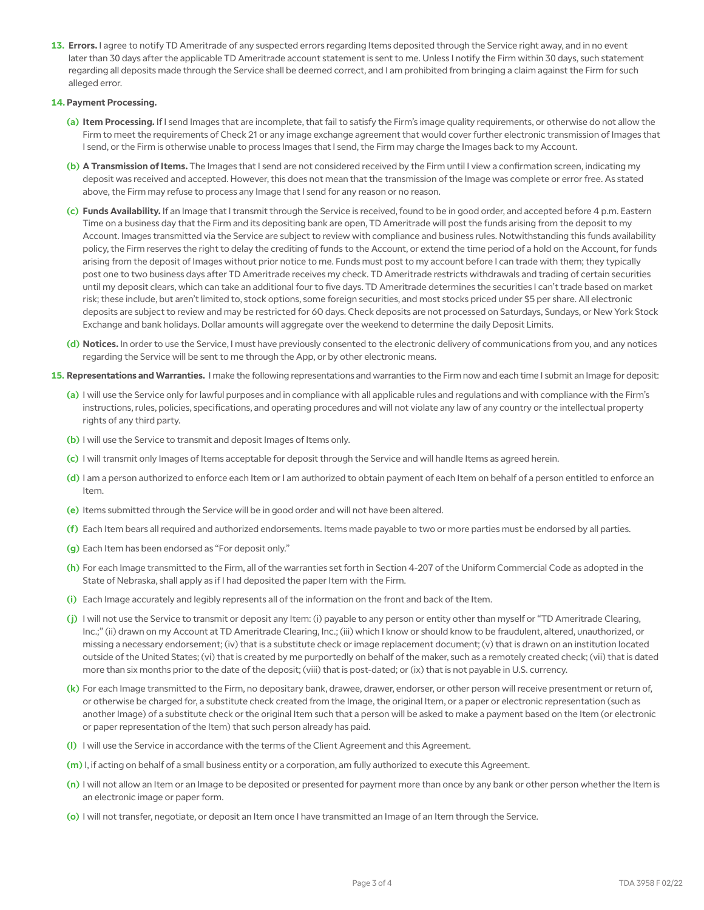**13. Errors.** I agree to notify TD Ameritrade of any suspected errors regarding Items deposited through the Service right away, and in no event later than 30 days after the applicable TD Ameritrade account statement is sent to me. Unless I notify the Firm within 30 days, such statement regarding all deposits made through the Service shall be deemed correct, and I am prohibited from bringing a claim against the Firm for such alleged error.

#### **14. Payment Processing.**

- **(a) Item Processing.** If I send Images that are incomplete, that fail to satisfy the Firm's image quality requirements, or otherwise do not allow the Firm to meet the requirements of Check 21 or any image exchange agreement that would cover further electronic transmission of Images that I send, or the Firm is otherwise unable to process Images that I send, the Firm may charge the Images back to my Account.
- **(b) A Transmission of Items.** The Images that I send are not considered received by the Firm until I view a confirmation screen, indicating my deposit was received and accepted. However, this does not mean that the transmission of the Image was complete or error free. As stated above, the Firm may refuse to process any Image that I send for any reason or no reason.
- **(c) Funds Availability.** If an Image that I transmit through the Service is received, found to be in good order, and accepted before 4 p.m. Eastern Time on a business day that the Firm and its depositing bank are open, TD Ameritrade will post the funds arising from the deposit to my Account. Images transmitted via the Service are subject to review with compliance and business rules. Notwithstanding this funds availability policy, the Firm reserves the right to delay the crediting of funds to the Account, or extend the time period of a hold on the Account, for funds arising from the deposit of Images without prior notice to me. Funds must post to my account before I can trade with them; they typically post one to two business days after TD Ameritrade receives my check. TD Ameritrade restricts withdrawals and trading of certain securities until my deposit clears, which can take an additional four to five days. TD Ameritrade determines the securities I can't trade based on market risk; these include, but aren't limited to, stock options, some foreign securities, and most stocks priced under \$5 per share. All electronic deposits are subject to review and may be restricted for 60 days. Check deposits are not processed on Saturdays, Sundays, or New York Stock Exchange and bank holidays. Dollar amounts will aggregate over the weekend to determine the daily Deposit Limits.
- **(d) Notices.** In order to use the Service, I must have previously consented to the electronic delivery of communications from you, and any notices regarding the Service will be sent to me through the App, or by other electronic means.
- **15. Representations and Warranties.** I make the following representations and warranties to the Firm now and each time I submit an Image for deposit:
	- **(a)** I will use the Service only for lawful purposes and in compliance with all applicable rules and regulations and with compliance with the Firm's instructions, rules, policies, specifications, and operating procedures and will not violate any law of any country or the intellectual property rights of any third party.
	- **(b)** I will use the Service to transmit and deposit Images of Items only.
	- **(c)** I will transmit only Images of Items acceptable for deposit through the Service and will handle Items as agreed herein.
	- **(d)** I am a person authorized to enforce each Item or I am authorized to obtain payment of each Item on behalf of a person entitled to enforce an Item.
	- **(e)** Items submitted through the Service will be in good order and will not have been altered.
	- **(f)** Each Item bears all required and authorized endorsements. Items made payable to two or more parties must be endorsed by all parties.
	- **(g)** Each Item has been endorsed as "For deposit only."
	- **(h)** For each Image transmitted to the Firm, all of the warranties set forth in Section 4-207 of the Uniform Commercial Code as adopted in the State of Nebraska, shall apply as if I had deposited the paper Item with the Firm.
	- **(i)** Each Image accurately and legibly represents all of the information on the front and back of the Item.
	- **(j)** I will not use the Service to transmit or deposit any Item: (i) payable to any person or entity other than myself or "TD Ameritrade Clearing, Inc.;" (ii) drawn on my Account at TD Ameritrade Clearing, Inc.; (iii) which I know or should know to be fraudulent, altered, unauthorized, or missing a necessary endorsement; (iv) that is a substitute check or image replacement document; (v) that is drawn on an institution located outside of the United States; (vi) that is created by me purportedly on behalf of the maker, such as a remotely created check; (vii) that is dated more than six months prior to the date of the deposit; (viii) that is post-dated; or (ix) that is not payable in U.S. currency.
	- **(k)** For each Image transmitted to the Firm, no depositary bank, drawee, drawer, endorser, or other person will receive presentment or return of, or otherwise be charged for, a substitute check created from the Image, the original Item, or a paper or electronic representation (such as another Image) of a substitute check or the original Item such that a person will be asked to make a payment based on the Item (or electronic or paper representation of the Item) that such person already has paid.
	- **(l)** I will use the Service in accordance with the terms of the Client Agreement and this Agreement.
	- **(m)** I, if acting on behalf of a small business entity or a corporation, am fully authorized to execute this Agreement.
	- **(n)** I will not allow an Item or an Image to be deposited or presented for payment more than once by any bank or other person whether the Item is an electronic image or paper form.
	- **(o)** I will not transfer, negotiate, or deposit an Item once I have transmitted an Image of an Item through the Service.